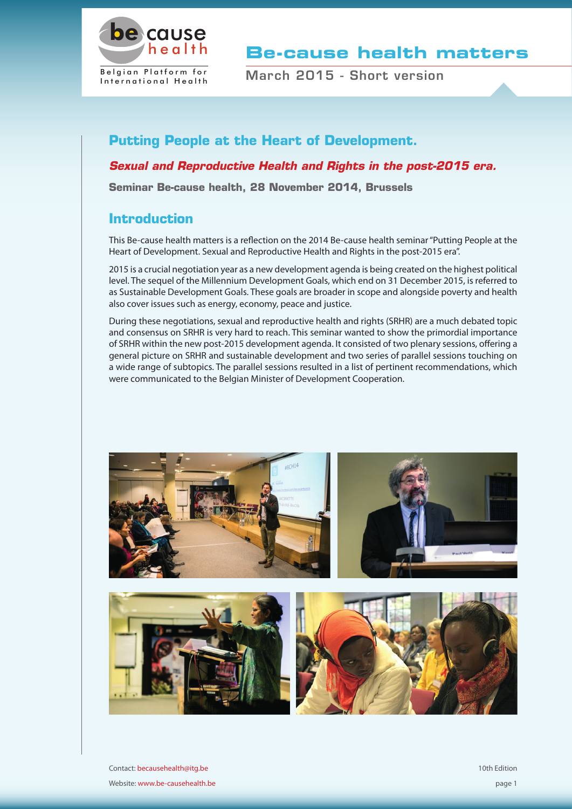

**Be-cause health matters**

March 2015 - Short version

# **Putting People at the Heart of Development.**

## *Sexual and Reproductive Health and Rights in the post-2015 era.*

**Seminar Be-cause health, 28 November 2014, Brussels**

# **Introduction**

This Be-cause health matters is a reflection on the 2014 Be-cause health seminar "Putting People at the Heart of Development. Sexual and Reproductive Health and Rights in the post-2015 era".

2015 is a crucial negotiation year as a new development agenda is being created on the highest political level. The sequel of the Millennium Development Goals, which end on 31 December 2015, is referred to as Sustainable Development Goals. These goals are broader in scope and alongside poverty and health also cover issues such as energy, economy, peace and justice.

During these negotiations, sexual and reproductive health and rights (SRHR) are a much debated topic and consensus on SRHR is very hard to reach. This seminar wanted to show the primordial importance of SRHR within the new post-2015 development agenda. It consisted of two plenary sessions, offering a general picture on SRHR and sustainable development and two series of parallel sessions touching on a wide range of subtopics. The parallel sessions resulted in a list of pertinent recommendations, which were communicated to the Belgian Minister of Development Cooperation.



Contact: becausehealth@itg.be Website: www.be-causehealth.be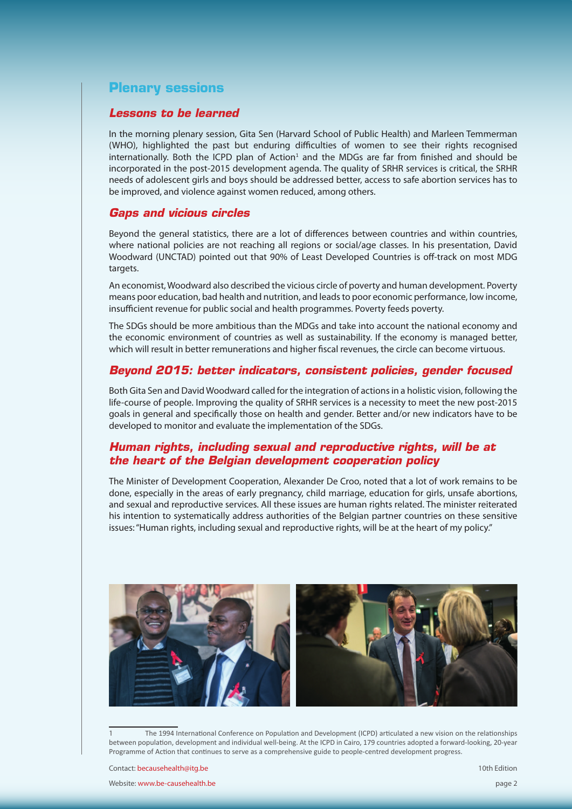# **Plenary sessions**

#### *Lessons to be learned*

In the morning plenary session, Gita Sen (Harvard School of Public Health) and Marleen Temmerman (WHO), highlighted the past but enduring difficulties of women to see their rights recognised internationally. Both the ICPD plan of Action<sup>1</sup> and the MDGs are far from finished and should be incorporated in the post-2015 development agenda. The quality of SRHR services is critical, the SRHR needs of adolescent girls and boys should be addressed better, access to safe abortion services has to be improved, and violence against women reduced, among others.

#### *Gaps and vicious circles*

Beyond the general statistics, there are a lot of differences between countries and within countries, where national policies are not reaching all regions or social/age classes. In his presentation, David Woodward (UNCTAD) pointed out that 90% of Least Developed Countries is off-track on most MDG targets.

An economist, Woodward also described the vicious circle of poverty and human development. Poverty means poor education, bad health and nutrition, and leads to poor economic performance, low income, insufficient revenue for public social and health programmes. Poverty feeds poverty.

The SDGs should be more ambitious than the MDGs and take into account the national economy and the economic environment of countries as well as sustainability. If the economy is managed better, which will result in better remunerations and higher fiscal revenues, the circle can become virtuous.

## *Beyond 2015: better indicators, consistent policies, gender focused*

Both Gita Sen and David Woodward called for the integration of actions in a holistic vision, following the life-course of people. Improving the quality of SRHR services is a necessity to meet the new post-2015 goals in general and specifically those on health and gender. Better and/or new indicators have to be developed to monitor and evaluate the implementation of the SDGs.

## *Human rights, including sexual and reproductive rights, will be at the heart of the Belgian development cooperation policy*

The Minister of Development Cooperation, Alexander De Croo, noted that a lot of work remains to be done, especially in the areas of early pregnancy, child marriage, education for girls, unsafe abortions, and sexual and reproductive services. All these issues are human rights related. The minister reiterated his intention to systematically address authorities of the Belgian partner countries on these sensitive issues: "Human rights, including sexual and reproductive rights, will be at the heart of my policy."



<sup>1</sup> The 1994 International Conference on Population and Development (ICPD) articulated a new vision on the relationships between population, development and individual well-being. At the ICPD in Cairo, 179 countries adopted a forward-looking, 20-year Programme of Action that continues to serve as a comprehensive guide to people-centred development progress.

Contact: becausehealth@itg.be

Website: www.be-causehealth.be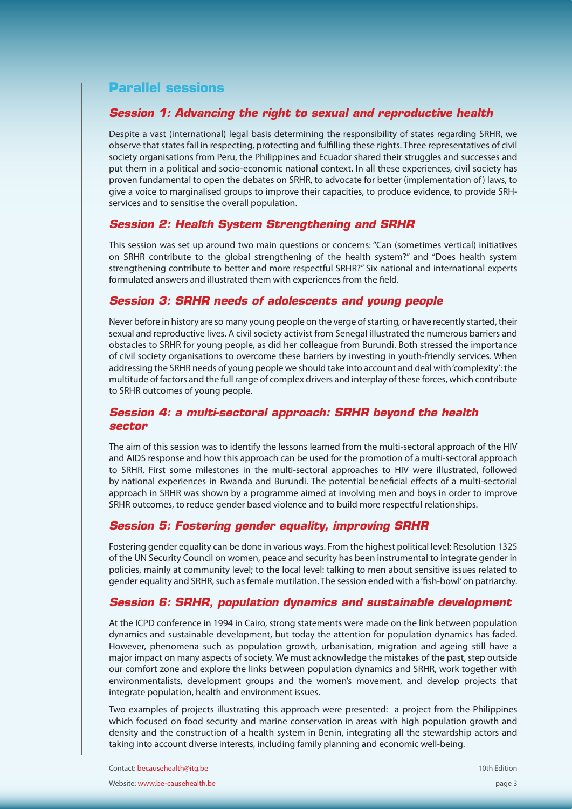# **Parallel sessions**

## *Session 1: Advancing the right to sexual and reproductive health*

Despite a vast (international) legal basis determining the responsibility of states regarding SRHR, we observe that states fail in respecting, protecting and fulfilling these rights. Three representatives of civil society organisations from Peru, the Philippines and Ecuador shared their struggles and successes and put them in a political and socio-economic national context. In all these experiences, civil society has proven fundamental to open the debates on SRHR, to advocate for better (implementation of) laws, to give a voice to marginalised groups to improve their capacities, to produce evidence, to provide SRHservices and to sensitise the overall population.

## *Session 2: Health System Strengthening and SRHR*

This session was set up around two main questions or concerns: "Can (sometimes vertical) initiatives on SRHR contribute to the global strengthening of the health system?" and "Does health system strengthening contribute to better and more respectful SRHR?" Six national and international experts formulated answers and illustrated them with experiences from the field.

## *Session 3: SRHR needs of adolescents and young people*

Never before in history are so many young people on the verge of starting, or have recently started, their sexual and reproductive lives. A civil society activist from Senegal illustrated the numerous barriers and obstacles to SRHR for young people, as did her colleague from Burundi. Both stressed the importance of civil society organisations to overcome these barriers by investing in youth-friendly services. When addressing the SRHR needs of young people we should take into account and deal with 'complexity': the multitude of factors and the full range of complex drivers and interplay of these forces, which contribute to SRHR outcomes of young people.

## *Session 4: a multi-sectoral approach: SRHR beyond the health sector*

The aim of this session was to identify the lessons learned from the multi-sectoral approach of the HIV and AIDS response and how this approach can be used for the promotion of a multi-sectoral approach to SRHR. First some milestones in the multi-sectoral approaches to HIV were illustrated, followed by national experiences in Rwanda and Burundi. The potential beneficial effects of a multi-sectorial approach in SRHR was shown by a programme aimed at involving men and boys in order to improve SRHR outcomes, to reduce gender based violence and to build more respectful relationships.

## *Session 5: Fostering gender equality, improving SRHR*

Fostering gender equality can be done in various ways. From the highest political level: Resolution 1325 of the UN Security Council on women, peace and security has been instrumental to integrate gender in policies, mainly at community level; to the local level: talking to men about sensitive issues related to gender equality and SRHR, such as female mutilation. The session ended with a 'fish-bowl' on patriarchy.

## *Session 6: SRHR, population dynamics and sustainable development*

At the ICPD conference in 1994 in Cairo, strong statements were made on the link between population dynamics and sustainable development, but today the attention for population dynamics has faded. However, phenomena such as population growth, urbanisation, migration and ageing still have a major impact on many aspects of society. We must acknowledge the mistakes of the past, step outside our comfort zone and explore the links between population dynamics and SRHR, work together with environmentalists, development groups and the women's movement, and develop projects that integrate population, health and environment issues.

Two examples of projects illustrating this approach were presented: a project from the Philippines which focused on food security and marine conservation in areas with high population growth and density and the construction of a health system in Benin, integrating all the stewardship actors and taking into account diverse interests, including family planning and economic well-being.

Contact: becausehealth@itg.be Website: www.be-causehealth.be